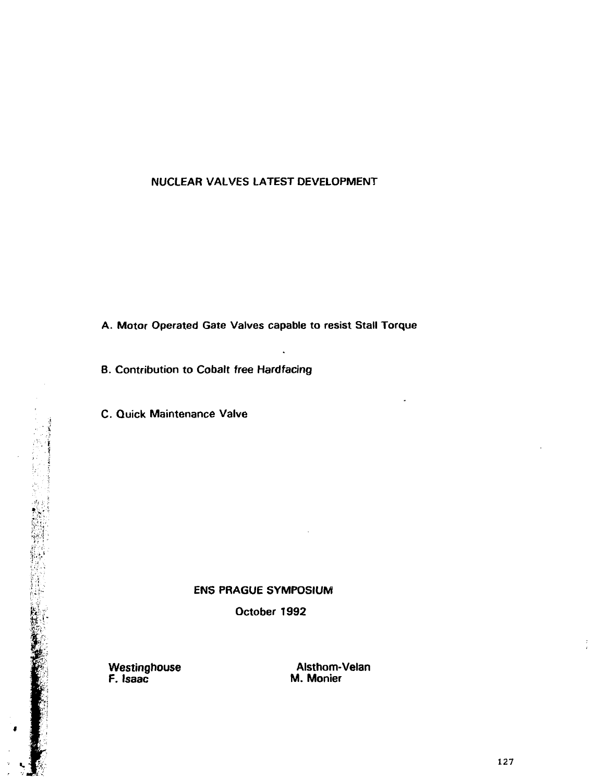# NUCLEAR VALVES LATEST DEVELOPMENT

A. Motor Operated Gate Valves capable to resist Stall Torque

B. Contribution to Cobalt free Hardfacing

C. Quick Maintenance Valve

# ENS PRAGUE SYMPOSIUM ENS PRAGUE SYMPOS<br>
Detober 1992<br>
Westinghouse<br>
Mestinghouse<br>
Maria Maria

F. Isaac M. Monier

医生物 化热 医阴道囊 医腹膜瘤 医紫外科 化二乙二乙二乙二乙二乙二乙二乙二乙二乙二乙

Westinghouse **Alsthom-Velan**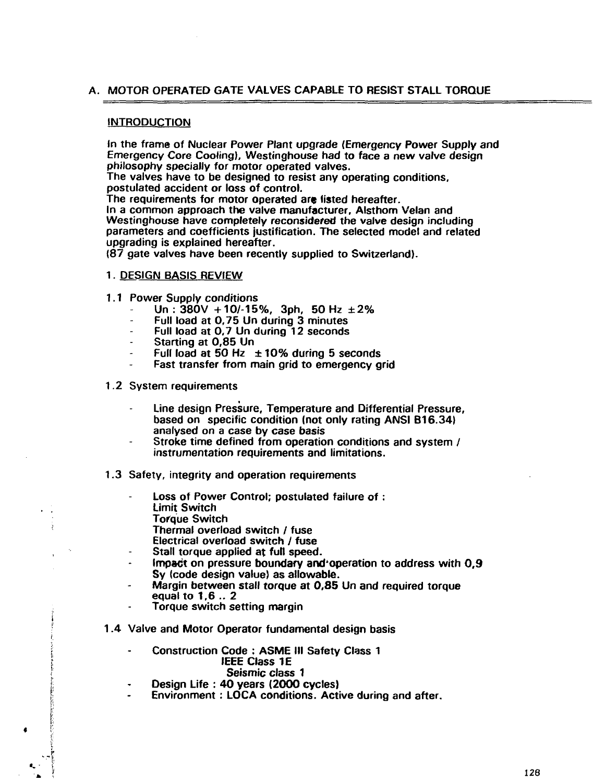# **A. MOTOR OPERATED GATE VALVES CAPABLE TO RESIST STALL TORQUE**

#### **INTRODUCTION**

**In the frame of Nuclear Power Plant upgrade (Emergency Power Supply and Emergency Core Cooling), Westinghouse had to face a new valve design philosophy specially for motor operated valves.**

**The valves have to be designed to resist any operating conditions, postulated accident or loss of control.**

**The requirements for motor operated are listed hereafter.**

**In a common approach the valve manufacturer, Alsthom Velan and Westinghouse have completely reconsidered the valve design including parameters and coefficients justification. The selected model and related upgrading is explained hereafter.**

**(87 gate valves have been recently supplied to Switzerland).**

# **1. DESIGN BASIS REVIEW**

- **1.1 Power Supply conditions**
	- **Un : 380V +107-15%, 3ph, 50 Hz ±2 %**
	- **Full load at 0,75 Un during 3 minutes**
	- **Full load at 0,7 Un during 12 seconds**
	- **Starting at 0,85 Un**
	- **Full load at 50 Hz ±10% during 5 seconds**
	- **Fast transfer from main grid to emergency grid**
- **1.2 System requirements**
	- **Line design Pressure, Temperature and Differential Pressure, based on specific condition (not only rating ANSI B16.34) analysed on a case by case basis**
	- **Stroke time defined from operation conditions and system / instrumentation requirements and limitations.**

#### **1.3 Safety, integrity and operation requirements**

- **Loss of Power Control; postulated failure of : Limit Switch**
	- **Torque Switch**

ŧ

- **Thermal overload switch / fuse**
- **Electrical overload switch / fuse**
- **Stall torque applied at full speed.**
- **Impact on pressure boundary and'operation to address with 0,9 Sy (code design value) as allowable.**
- **Margin between stall torque at 0,85 Un and required torque equal to 1,6 .. 2**
- **Torque switch setting margin**
- **1.4 Valve and Motor Operator fundamental design basis**
	- $\overline{a}$ **Construction Code : ASME III Safety Class 1 IEEE Class IE Seismic class 1**
	- **Design Life : 40 years (2000 cycles)**
	- **Environment: LOCA conditions. Active during and after.**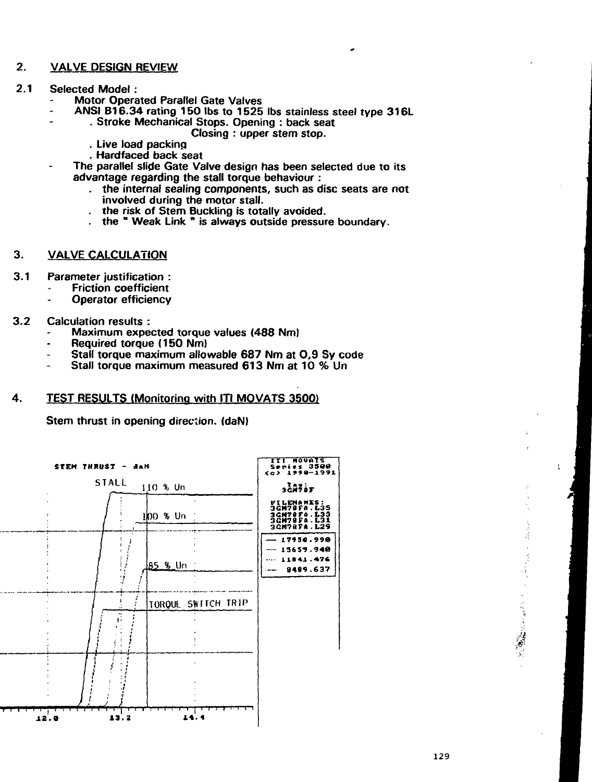#### $2.$ **VALVE DESIGN REVIEW**

 $2.1$ **Selected Model:** 

 $\overline{a}$ 

- **Motor Operated Parallel Gate Valves** 
	- ANSI B16.34 rating 150 lbs to 1525 lbs stainless steel type 316L
		- . Stroke Mechanical Stops. Opening : back seat
			- Closing: upper stem stop.
			- . Live load packing
			- . Hardfaced back seat
- The parallel slide Gate Valve design has been selected due to its advantage regarding the stall torque behaviour:
	- . the internal sealing components, such as disc seats are not involved during the motor stall.
	- the risk of Stem Buckling is totally avoided.
	- the "Weak Link " is always outside pressure boundary.
- 3. **VALVE CALCULATION**
- $3.1$ Parameter justification :
	- **Friction coefficient** 
		- **Operator efficiency**
- $3.2$ **Calculation results:** 
	- Maximum expected torque values (488 Nm)
	- Required torque (150 Nm)
	- Stall torque maximum allowable 687 Nm at 0.9 Sy code
	- Stall torque maximum measured 613 Nm at 10 % Un

#### 4. **TEST RESULTS (Monitoring with ITI MOVATS 3500)**

Stem thrust in opening direction. (daN)



الوراء بدائد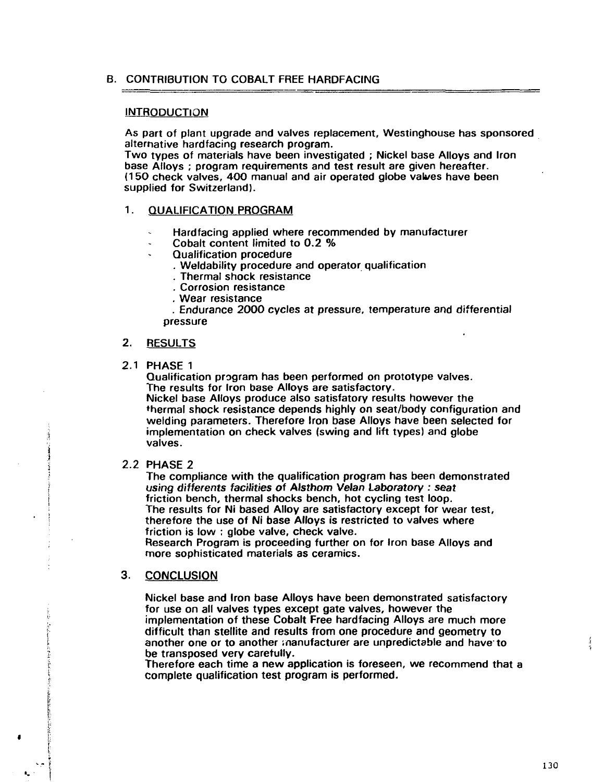# B. CONTRIBUTION TO COBALT FREE HARDFACING

#### **INTRODUCTION**

As part of plant upgrade and valves replacement, Westinghouse has sponsored alternative hardfacing research program.

Two types of materials have been investigated ; Nickel base Alloys and Iron base Alloys ; program requirements and test result are given hereafter. (150 check valves, 400 manual and air operated globe valves have been supplied for Switzerland).

# 1. QUALIFICATION PROGRAM

- Hardfacing applied where recommended by manufacturer
- Cobalt content limited to 0.2 %
- Qualification procedure
	- . Weldability procedure and operator qualification
	- . Thermal shock resistance
	- . Corrosion resistance
	- . Wear resistance

. Endurance 2000 cycles at pressure, temperature and differential pressure

## 2. RESULTS

# 2.1 PHASE 1

Qualification program has been performed on prototype valves. The results for Iron base Alloys are satisfactory.

Nickel base Alloys produce also satisfatory results however the thermal shock resistance depends highly on seat/body configuration and welding parameters. Therefore Iron base Alloys have been selected for implementation on check valves (swing and lift types) and globe valves.

#### 2.2 PHASE 2

The compliance with the qualification program has been demonstrated using differents facilities of Alsthom Velan Laboratory : seat friction bench, thermal shocks bench, hot cycling test loop. The results for Ni based Alloy are satisfactory except for wear test, therefore the use of Ni base Alloys is restricted to valves where friction is low : globe valve, check valve.

Research Program is proceeding further on for Iron base Alloys and more sophisticated materials as ceramics.

# 3. CONCLUSION

Nickel base and Iron base Alloys have been demonstrated satisfactory for use on all valves types except gate valves, however the implementation of these Cobalt Free hardfacing Alloys are much more difficult than stellite and results from one procedure and geometry to another one or to another manufacturer are unpredictable and have to be transposed very carefully.

Therefore each time a new application is foreseen, we recommend that a complete qualification test program is performed.